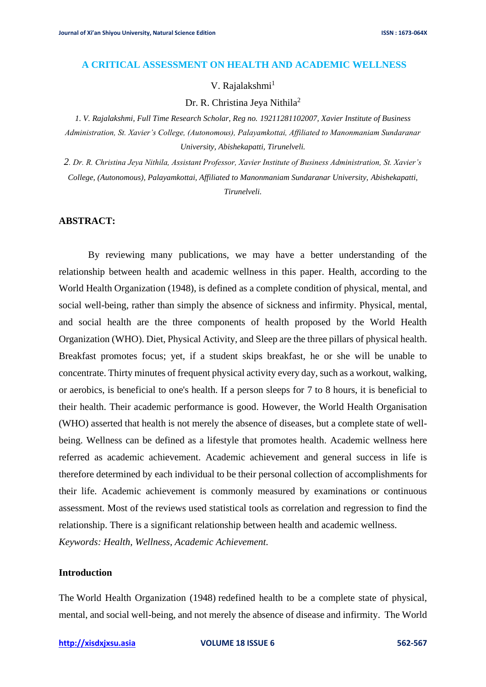### **A CRITICAL ASSESSMENT ON HEALTH AND ACADEMIC WELLNESS**

# V. Rajalakshmi<sup>1</sup>

Dr. R. Christina Jeya Nithila<sup>2</sup>

*1. V. Rajalakshmi, Full Time Research Scholar, Reg no. 19211281102007, Xavier Institute of Business Administration, St. Xavier's College, (Autonomous), Palayamkottai, Affiliated to Manonmaniam Sundaranar University, Abishekapatti, Tirunelveli.*

*2. Dr. R. Christina Jeya Nithila, Assistant Professor, Xavier Institute of Business Administration, St. Xavier's College, (Autonomous), Palayamkottai, Affiliated to Manonmaniam Sundaranar University, Abishekapatti, Tirunelveli.*

## **ABSTRACT:**

By reviewing many publications, we may have a better understanding of the relationship between health and academic wellness in this paper. Health, according to the World Health Organization (1948), is defined as a complete condition of physical, mental, and social well-being, rather than simply the absence of sickness and infirmity. Physical, mental, and social health are the three components of health proposed by the World Health Organization (WHO). Diet, Physical Activity, and Sleep are the three pillars of physical health. Breakfast promotes focus; yet, if a student skips breakfast, he or she will be unable to concentrate. Thirty minutes of frequent physical activity every day, such as a workout, walking, or aerobics, is beneficial to one's health. If a person sleeps for 7 to 8 hours, it is beneficial to their health. Their academic performance is good. However, the World Health Organisation (WHO) asserted that health is not merely the absence of diseases, but a complete state of wellbeing. Wellness can be defined as a lifestyle that promotes health. Academic wellness here referred as academic achievement. Academic achievement and general success in life is therefore determined by each individual to be their personal collection of accomplishments for their life. Academic achievement is commonly measured by examinations or continuous assessment. Most of the reviews used statistical tools as correlation and regression to find the relationship. There is a significant relationship between health and academic wellness. *Keywords: Health, Wellness, Academic Achievement.*

## **Introduction**

The World Health Organization (1948) redefined health to be a complete state of physical, mental, and social well-being, and not merely the absence of disease and infirmity. The World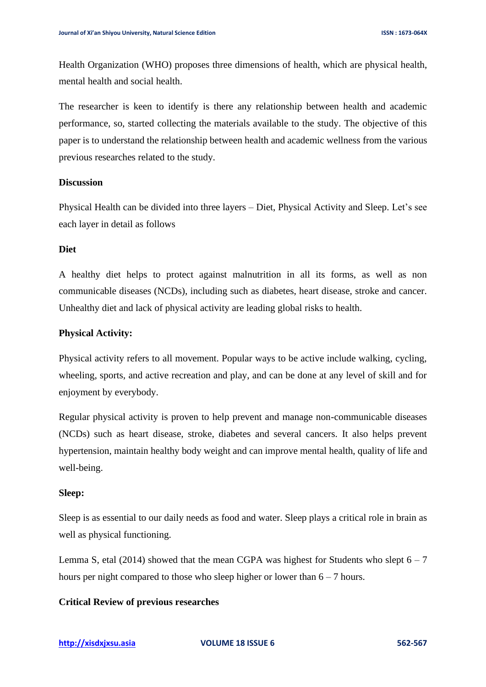Health Organization (WHO) proposes three dimensions of health, which are physical health, mental health and social health.

The researcher is keen to identify is there any relationship between health and academic performance, so, started collecting the materials available to the study. The objective of this paper is to understand the relationship between health and academic wellness from the various previous researches related to the study.

### **Discussion**

Physical Health can be divided into three layers – Diet, Physical Activity and Sleep. Let's see each layer in detail as follows

## **Diet**

A healthy diet helps to protect against malnutrition in all its forms, as well as non communicable diseases (NCDs), including such as diabetes, heart disease, stroke and cancer. Unhealthy diet and lack of physical activity are leading global risks to health.

#### **Physical Activity:**

Physical activity refers to all movement. Popular ways to be active include walking, cycling, wheeling, sports, and active recreation and play, and can be done at any level of skill and for enjoyment by everybody.

Regular physical activity is proven to help prevent and manage non-communicable diseases (NCDs) such as heart disease, stroke, diabetes and several cancers. It also helps prevent hypertension, maintain healthy body weight and can improve mental health, quality of life and well-being.

#### **Sleep:**

Sleep is as essential to our daily needs as food and water. Sleep plays a critical role in brain as well as physical functioning.

Lemma S, etal (2014) showed that the mean CGPA was highest for Students who slept  $6 - 7$ hours per night compared to those who sleep higher or lower than  $6 - 7$  hours.

## **Critical Review of previous researches**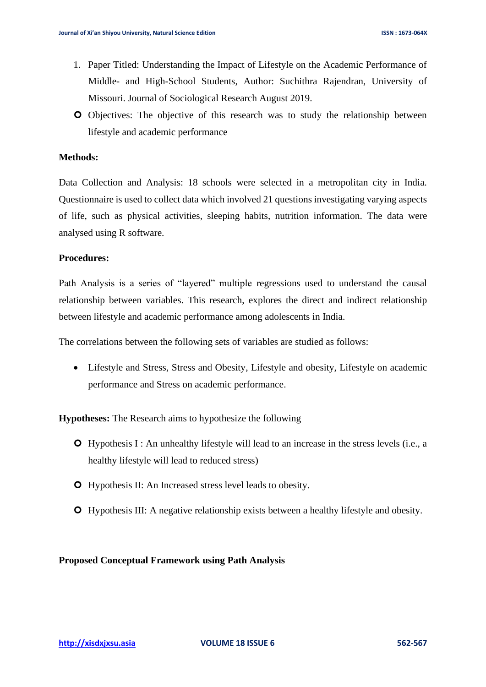- 1. Paper Titled: Understanding the Impact of Lifestyle on the Academic Performance of Middle- and High-School Students, Author: Suchithra Rajendran, University of Missouri. Journal of Sociological Research August 2019.
- Objectives: The objective of this research was to study the relationship between lifestyle and academic performance

# **Methods:**

Data Collection and Analysis: 18 schools were selected in a metropolitan city in India. Questionnaire is used to collect data which involved 21 questions investigating varying aspects of life, such as physical activities, sleeping habits, nutrition information. The data were analysed using R software.

# **Procedures:**

Path Analysis is a series of "layered" multiple regressions used to understand the causal relationship between variables. This research, explores the direct and indirect relationship between lifestyle and academic performance among adolescents in India.

The correlations between the following sets of variables are studied as follows:

• Lifestyle and Stress, Stress and Obesity, Lifestyle and obesity, Lifestyle on academic performance and Stress on academic performance.

**Hypotheses:** The Research aims to hypothesize the following

- Hypothesis I : An unhealthy lifestyle will lead to an increase in the stress levels (i.e., a healthy lifestyle will lead to reduced stress)
- Hypothesis II: An Increased stress level leads to obesity.
- Hypothesis III: A negative relationship exists between a healthy lifestyle and obesity.

**Proposed Conceptual Framework using Path Analysis**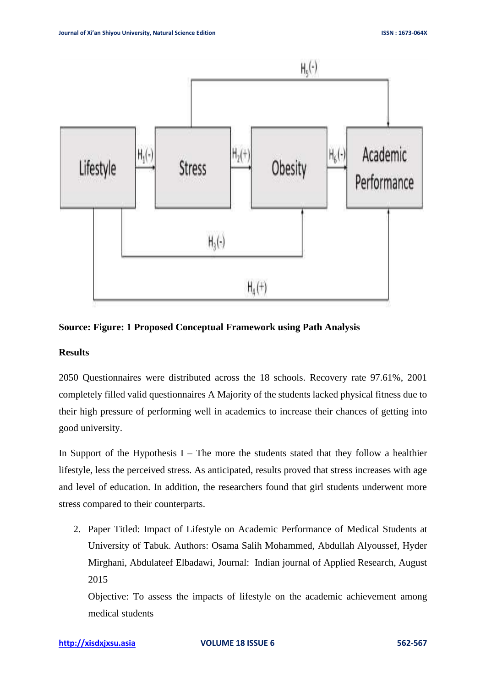

### **Source: Figure: 1 Proposed Conceptual Framework using Path Analysis**

## **Results**

2050 Questionnaires were distributed across the 18 schools. Recovery rate 97.61%, 2001 completely filled valid questionnaires A Majority of the students lacked physical fitness due to their high pressure of performing well in academics to increase their chances of getting into good university.

In Support of the Hypothesis I – The more the students stated that they follow a healthier lifestyle, less the perceived stress. As anticipated, results proved that stress increases with age and level of education. In addition, the researchers found that girl students underwent more stress compared to their counterparts.

2. Paper Titled: Impact of Lifestyle on Academic Performance of Medical Students at University of Tabuk. Authors: Osama Salih Mohammed, Abdullah Alyoussef, Hyder Mirghani, Abdulateef Elbadawi, Journal: Indian journal of Applied Research, August 2015

Objective: To assess the impacts of lifestyle on the academic achievement among medical students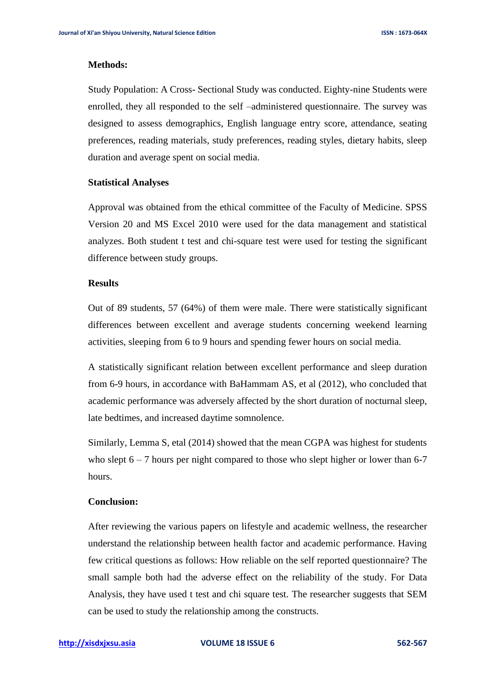### **Methods:**

Study Population: A Cross- Sectional Study was conducted. Eighty-nine Students were enrolled, they all responded to the self –administered questionnaire. The survey was designed to assess demographics, English language entry score, attendance, seating preferences, reading materials, study preferences, reading styles, dietary habits, sleep duration and average spent on social media.

#### **Statistical Analyses**

Approval was obtained from the ethical committee of the Faculty of Medicine. SPSS Version 20 and MS Excel 2010 were used for the data management and statistical analyzes. Both student t test and chi-square test were used for testing the significant difference between study groups.

# **Results**

Out of 89 students, 57 (64%) of them were male. There were statistically significant differences between excellent and average students concerning weekend learning activities, sleeping from 6 to 9 hours and spending fewer hours on social media.

A statistically significant relation between excellent performance and sleep duration from 6-9 hours, in accordance with BaHammam AS, et al (2012), who concluded that academic performance was adversely affected by the short duration of nocturnal sleep, late bedtimes, and increased daytime somnolence.

Similarly, Lemma S, etal (2014) showed that the mean CGPA was highest for students who slept  $6 - 7$  hours per night compared to those who slept higher or lower than 6-7 hours.

## **Conclusion:**

After reviewing the various papers on lifestyle and academic wellness, the researcher understand the relationship between health factor and academic performance. Having few critical questions as follows: How reliable on the self reported questionnaire? The small sample both had the adverse effect on the reliability of the study. For Data Analysis, they have used t test and chi square test. The researcher suggests that SEM can be used to study the relationship among the constructs.